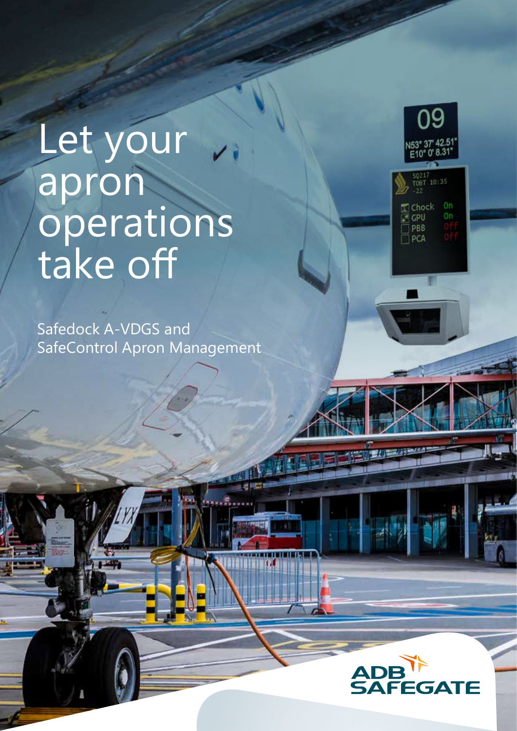## Let your apron operations take off

Safedock A-VDGS and SafeControl Apron Management

TA PI



SQ217<br>TOBT 10:35

0n 0n

Chock

CPU PBB ∃pca

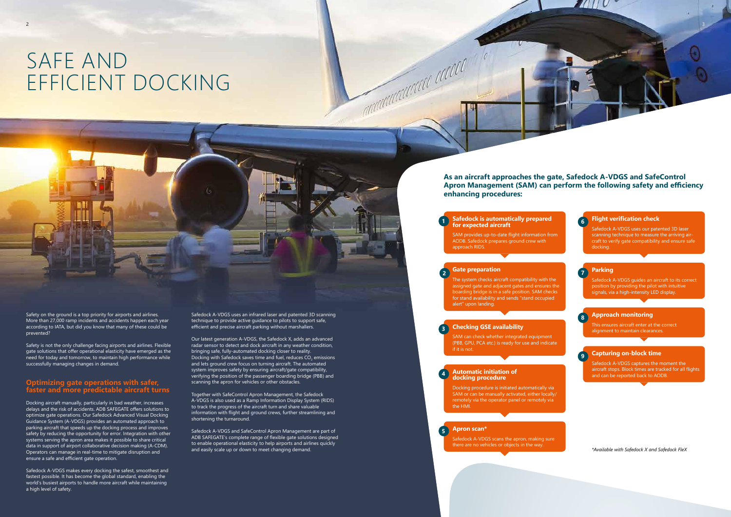## SAFE AND EFFICIENT DOCKING

Safedock A-VDGS uses an infrared laser and patented 3D scanning technique to provide active guidance to pilots to support safe, efficient and precise aircraft parking without marshallers.

Our latest generation A-VDGS, the Safedock X, adds an advanced radar sensor to detect and dock aircraft in any weather condition, bringing safe, fully-automated docking closer to reality. Docking with Safedock saves time and fuel, reduces CO $_2$  emissions and lets ground crew focus on turning aircraft. The automated system improves safety by ensuring aircraft/gate compatibility, verifying the position of the passenger boarding bridge (PBB) and scanning the apron for vehicles or other obstacles.

Safety is not the only challenge facing airports and airlines. Flexible gate solutions that offer operational elasticity have emerged as the need for today and tomorrow, to maintain high performance while successfully managing changes in demand.

> Together with SafeControl Apron Management, the Safedock A-VDGS is also used as a Ramp Information Display System (RIDS) to track the progress of the aircraft turn and share valuable information with flight and ground crews, further streamlining and shortening the turnaround.

Safedock A-VDGS and SafeControl Apron Management are part of ADB SAFEGATE's complete range of flexible gate solutions designed to enable operational elasticity to help airports and airlines quickly and easily scale up or down to meet changing demand.

Safety on the ground is a top priority for airports and airlines. More than 27,000 ramp incidents and accidents happen each year according to IATA, but did you know that many of these could be prevented?

> Safedock A-VDGS scans the apron, making sure there are no vehicles or objects in the way.

#### **Optimizing gate operations with safer, faster and more predictable aircraft turns**

Docking aircraft manually, particularly in bad weather, increases delays and the risk of accidents. ADB SAFEGATE offers solutions to optimize gate operations. Our Safedock Advanced Visual Docking Guidance System (A-VDGS) provides an automated approach to parking aircraft that speeds up the docking process and improves safety by reducing the opportunity for error. Integration with other systems serving the apron area makes it possible to share critical data in support of airport collaborative decision making (A-CDM). Operators can manage in real-time to mitigate disruption and ensure a safe and efficient gate operation.

Safedock A-VDGS makes every docking the safest, smoothest and fastest possible. It has become the global standard, enabling the world's busiest airports to handle more aircraft while maintaining a high level of safety.

#### **As an aircraft approaches the gate, Safedock A-VDGS and SafeControl Apron Management (SAM) can perform the following safety and efficiency**

## **enhancing procedures:**

The system checks aircraft compatibility with the assigned gate and adjacent gates and ensures the boarding bridge is in a safe position. SAM checks for stand availability and sends "stand occupied alert" upon landing.

#### **Checking GSE availability**

SAM can check whether integrated equipment (PBB, GPU, PCA etc.) is ready for use and indicate if it is not.

#### **Gate preparation 2**

#### **Apron scan\***

#### **Automatic initiation of docking procedure**

Docking procedure is initiated automatically via SAM or can be manually activated, either locally/ remotely via the operator panel or remotely via the HMI.

**4**

**5**

SAM provides up-to-date flight information from AODB. Safedock prepares ground crew with approach RIDS.

#### **Flight verification check**

Safedock A-VDGS uses our patented 3D laser scanning technique to measure the arriving aircraft to verify gate compatibility and ensure safe docking.

#### **Safedock is automatically prepared for expected aircraft 1 6**

Safedock A-VDGS guides an aircraft to its correct position by providing the pilot with intuitive signals, via a high-intensity LED display.

#### **Approach monitoring**

This ensures aircraft enter at the correct alignment to maintain clearances.

**Parking 7**



Safedock A-VDGS captures the moment the aircraft stops. Block times are tracked for all flights and can be reported back to AODB.

*\*Available with Safedock X and Safedock FleX*



**9**



**3**

Manufactured and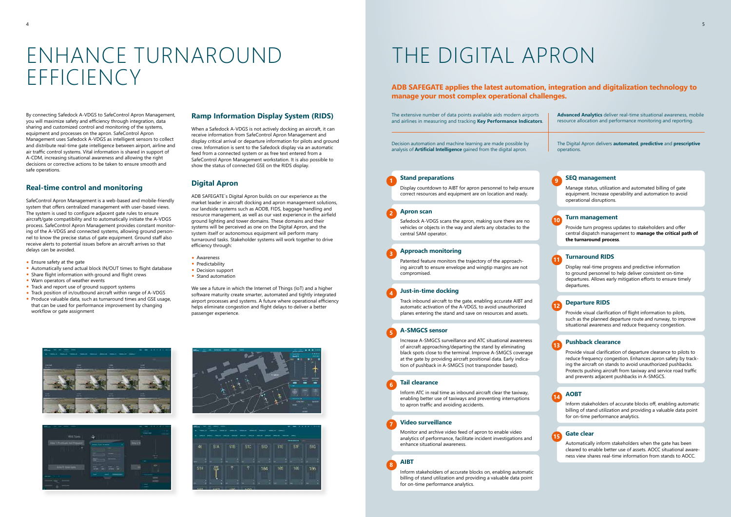## ENHANCE TURNAROUND EFFICIENCY

By connecting Safedock A-VDGS to SafeControl Apron Management, you will maximize safety and efficiency through integration, data sharing and customized control and monitoring of the systems, equipment and processes on the apron. SafeControl Apron Management uses Safedock A-VDGS as intelligent sensors to collect and distribute real-time gate intelligence between airport, airline and air traffic control systems. Vital information is shared in support of A-CDM, increasing situational awareness and allowing the right decisions or corrective actions to be taken to ensure smooth and safe operations.

#### **Real-time control and monitoring**

- Ensure safety at the gate
- Automatically send actual block IN/OUT times to flight database
- Share flight information with ground and flight crews
- Warn operators of weather events
- Track and report use of ground support systems
- Track position of in/outbound aircraft within range of A-VDGS
- Produce valuable data, such as turnaround times and GSE usage, that can be used for performance improvement by changing workflow or gate assignment

SafeControl Apron Management is a web-based and mobile-friendly system that offers centralized management with user-based views. The system is used to configure adjacent gate rules to ensure aircraft/gate compatibility and to automatically initiate the A-VDGS process. SafeControl Apron Management provides constant monitoring of the A-VDGS and connected systems, allowing ground personnel to know the precise status of gate equipment. Ground staff also receive alerts to potential issues before an aircraft arrives so that delays can be avoided.

> We see a future in which the Internet of Things (IoT) and a higher software maturity create smarter, automated and tightly integrated airport processes and systems. A future where operational efficiency helps eliminate congestion and flight delays to deliver a better passenger experience.









#### **Ramp Information Display System (RIDS)**

When a Safedock A-VDGS is not actively docking an aircraft, it can receive information from SafeControl Apron Management and display critical arrival or departure information for pilots and ground crew. Information is sent to the Safedock display via an automatic feed from a connected system or as free text entered from a SafeControl Apron Management workstation. It is also possible to show the status of connected GSE on the RIDS display.

#### **Digital Apron**

ADB SAFEGATE´s Digital Apron builds on our experience as the market leader in aircraft docking and apron management solutions, our landside systems such as AODB, FIDS, baggage handling and resource management, as well as our vast experience in the airfield ground lighting and tower domains. These domains and their systems will be perceived as one on the Digital Apron, and the system itself or autonomous equipment will perform many turnaround tasks. Stakeholder systems will work together to drive efficiency through:

- Awareness
- Predictability
- Decision support
- Stand automation

## THE DIGITAL APRON

The extensive number of data points available aids modern airports and airlines in measuring and tracking **Key Performance Indicators**.

Decision automation and machine learning are made possible by analysis of **Artificial Intelligence** gained from the digital apron.

**Advanced Analytics** deliver real-time situational awareness, mobile resource allocation and performance monitoring and reporting.

The Digital Apron delivers **automated**, **predictive** and **prescriptive** operations.

#### **ADB SAFEGATE applies the latest automation, integration and digitalization technology to manage your most complex operational challenges.**

#### **Stand preparations**

Display countdown to AIBT for apron personnel to help ensure correct resources and equipment are on location and ready.

#### **AIBT**

Inform stakeholders of accurate blocks on, enabling automatic billing of stand utilization and providing a valuable data point for on-time performance analytics.

**SEQ management**

Manage status, utilization and automated billing of gate equipment. Increase operability and automation to avoid operational disruptions.

Provide turn progress updates to stakeholders and offer central dispatch management to **manage the critical path of the turnaround process**.

#### **Turnaround RIDS**

Display real-time progress and predictive information to ground personnel to help deliver consistent on-time departures. Allows early mitigation efforts to ensure timely departures.

#### **Apron scan**

Safedock A-VDGS scans the apron, making sure there are no vehicles or objects in the way and alerts any obstacles to the central SAM operator.

#### **Just-in-time docking**

Track inbound aircraft to the gate, enabling accurate AIBT and automatic activation of the A-VDGS, to avoid unauthorized planes entering the stand and save on resources and assets.

#### **A-SMGCS sensor**

#### **Turn management 10**

Increase A-SMGCS surveillance and ATC situational awareness of aircraft approaching/departing the stand by eliminating black spots close to the terminal. Improve A-SMGCS coverage at the gate by providing aircraft positional data. Early indication of pushback in A-SMGCS (not transponder based).

#### **Tail clearance**

Inform ATC in real time as inbound aircraft clear the taxiway, enabling better use of taxiways and preventing interruptions to apron traffic and avoiding accidents.

#### **Video surveillance**

Monitor and archive video feed of apron to enable video analytics of performance, facilitate incident investigations and enhance situational awareness.

#### **Approach monitoring**

Patented feature monitors the trajectory of the approaching aircraft to ensure envelope and wingtip margins are not compromised.

**1**

**8**

**9**

#### **11**

#### **Departure RIDS**

Provide visual clarification of flight information to pilots, such as the planned departure route and runway, to improve situational awareness and reduce frequency congestion.

#### **AOBT**

Inform stakeholders of accurate blocks off, enabling automatic billing of stand utilization and providing a valuable data point for on-time performance analytics.

#### **Gate clear**

Automatically inform stakeholders when the gate has been cleared to enable better use of assets. AOCC situational awareness view shares real-time information from stands to AOCC.

#### **Pushback clearance**

Provide visual clarification of departure clearance to pilots to reduce frequency congestion. Enhances apron safety by tracking the aircraft on stands to avoid unauthorized pushbacks. Protects pushing aircraft from taxiway and service road traffic and prevents adjacent pushbacks in A-SMGCS.

**12**

**14**

**15**

**13**

**2**

**4**

**5**

**6**

**7**

**3**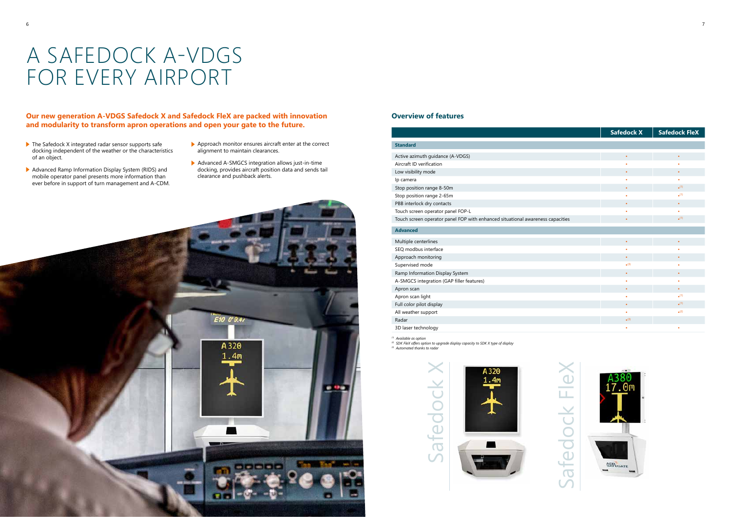#### **Our new generation A-VDGS Safedock X and Safedock FleX are packed with innovation and modularity to transform apron operations and open your gate to the future.**

- ▶ The Safedock X integrated radar sensor supports safe docking independent of the weather or the characteristics of an object.
- Advanced Ramp Information Display System (RIDS) and mobile operator panel presents more information than ever before in support of turn management and A-CDM.
- Approach monitor ensures aircraft enter at the correct alignment to maintain clearances.
- Advanced A-SMGCS integration allows just-in-time docking, provides aircraft position data and sends tail clearance and pushback alerts.



#### **Overview of features**

## A SAFEDOCK A-VDGS FOR EVERY AIRPORT

Safedock X

Safedock

## Safedock FleX Safedock Fle>



# **Safedock X Safedock FleX** 3D laser technology • •

|                                                                                | <b>Safedock X</b>        | <b>Safedocl</b>          |
|--------------------------------------------------------------------------------|--------------------------|--------------------------|
| <b>Standard</b>                                                                |                          |                          |
| Active azimuth guidance (A-VDGS)                                               | $\bullet$                |                          |
| Aircraft ID verification                                                       | ٠                        |                          |
| Low visibility mode                                                            | $\bullet$                |                          |
| Ip camera                                                                      | ٠                        |                          |
| Stop position range 8-50m                                                      | $\bullet$                | $\bullet$ <sup>(1)</sup> |
| Stop position range 2-65m                                                      | ٠                        | $\bullet$ <sup>(1)</sup> |
| PBB interlock dry contacts                                                     | $\bullet$                |                          |
| Touch screen operator panel FOP-L                                              | ٠                        |                          |
| Touch screen operator panel FOP with enhanced situational awareness capacities | $\bullet$                | $\bullet$ <sup>(1)</sup> |
| <b>Advanced</b>                                                                |                          |                          |
| Multiple centerlines                                                           | $\bullet$                |                          |
| SEO modbus interface                                                           | $\bullet$                |                          |
| Approach monitoring                                                            | $\bullet$                |                          |
| Supervised mode                                                                | (3)                      |                          |
| Ramp Information Display System                                                | $\bullet$                |                          |
| A-SMGCS integration (GAP filler features)                                      | $\bullet$                |                          |
| Apron scan                                                                     | $\bullet$                |                          |
| Apron scan light                                                               | $\bullet$                | $\bullet$ <sup>(1)</sup> |
| Full color pilot display                                                       | $\bullet$                | $\bullet$ <sup>(1)</sup> |
| All weather support                                                            | ٠                        | $\bullet$ <sup>(2)</sup> |
| Radar                                                                          | $\bullet$ <sup>(3)</sup> |                          |
|                                                                                |                          |                          |

*(1) Available as option*

*(2) SDK FleX offers option to upgrade display capacity to SDK X type of display*

*(3) Automated thanks to radar*

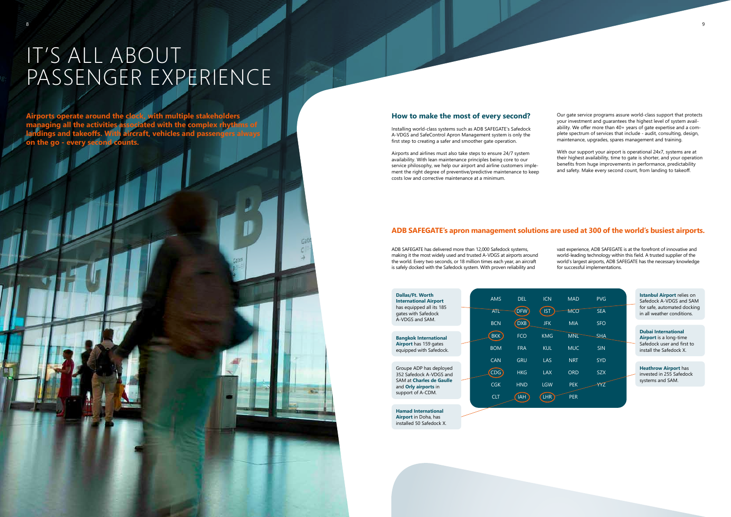8

#### **ADB SAFEGATE's apron management solutions are used at 300 of the world's busiest airports.**

#### **How to make the most of every second?**

Installing world-class systems such as ADB SAFEGATE's Safedock A-VDGS and SafeControl Apron Management system is only the first step to creating a safer and smoother gate operation.

Airports and airlines must also take steps to ensure 24/7 system availability. With lean maintenance principles being core to our service philosophy, we help our airport and airline customers implement the right degree of preventive/predictive maintenance to keep costs low and corrective maintenance at a minimum.

Our gate service programs assure world-class support that protects your investment and guarantees the highest level of system availability. We offer more than 40+ years of gate expertise and a complete spectrum of services that include - audit, consulting, design, maintenance, upgrades, spares management and training.

With our support your airport is operational 24x7, systems are at their highest availability, time to gate is shorter, and your operation benefits from huge improvements in performance, predictability and safety. Make every second count, from landing to takeoff.

**Hamad International Airport** in Doha, has installed 50 Safedock X.

| <b>ICN</b><br><b>IST</b> | <b>MAD</b><br><b>MCO</b> | <b>PVG</b><br><b>SEA</b> | <b>Istanbul Airport relies on</b><br>Safedock A-VDGS and SAM<br>for safe, automated docking<br>in all weather conditions. |
|--------------------------|--------------------------|--------------------------|---------------------------------------------------------------------------------------------------------------------------|
| <b>JFK</b>               | <b>MIA</b>               | <b>SFO</b>               |                                                                                                                           |
| <b>KMG</b>               | <b>MNL</b>               | SHA                      | <b>Dubai International</b><br><b>Airport</b> is a long-time                                                               |
| <b>KUL</b>               | <b>MUC</b>               | <b>SIN</b>               | Safedock user and first to<br>install the Safedock X.                                                                     |
| LAS                      | <b>NRT</b>               | <b>SYD</b>               |                                                                                                                           |
| <b>LAX</b>               | <b>ORD</b>               | <b>SZX</b>               | <b>Heathrow Airport has</b><br>invested in 255 Safedock<br>systems and SAM.                                               |
| <b>LGW</b>               | <b>PEK</b>               |                          |                                                                                                                           |
| LHR                      | <b>PER</b>               |                          |                                                                                                                           |

|  | <b>AMS</b><br><b>ATL</b><br><b>BCN</b> | <b>DEL</b><br>DFW<br><b>DXB</b> |
|--|----------------------------------------|---------------------------------|
|  | <b>BKK</b><br><b>BOM</b>               | <b>FCO</b><br><b>FRA</b>        |
|  | CAN                                    | <b>GRU</b>                      |
|  | <b>CDG</b>                             | <b>HKG</b>                      |
|  | <b>CGK</b>                             | <b>HND</b>                      |
|  | <b>CLT</b>                             | <b>IAH</b>                      |
|  |                                        |                                 |

### IT'S ALL ABOUT PASSENGER EXPERIENCE

**Airports operate around the clock, with multiple stakeholders managing all the activities associated with the complex rhythms of landings and takeoffs. With aircraft, vehicles and passengers always on the go - every second counts.**

> ADB SAFEGATE has delivered more than 12,000 Safedock systems, making it the most widely used and trusted A-VDGS at airports around the world. Every two seconds, or 18 million times each year, an aircraft is safely docked with the Safedock system. With proven reliability and

vast experience, ADB SAFEGATE is at the forefront of innovative and world-leading technology within this field. A trusted supplier of the world's largest airports, ADB SAFEGATE has the necessary knowledge for successful implementations.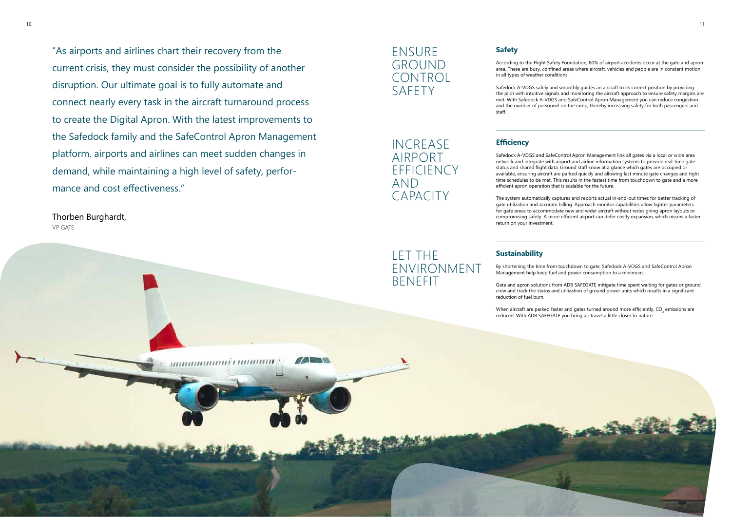#### **Sustainability**

By shortening the time from touchdown to gate, Safedock A-VDGS and SafeControl Apron Management help keep fuel and power consumption to a minimum.

Gate and apron solutions from ADB SAFEGATE mitigate time spent waiting for gates or ground crew and track the status and utilization of ground power units which results in a significant



When aircraft are parked faster and gates turned around more efficiently, CO<sub>2</sub> emissions are reduced. With ADB SAFEGATE you bring air travel a little closer to nature.

reduction of fuel burn.

#### LET THE ENVIRONMENT BENEFIT

#### ENSURE GROUND CONTROL SAFETY

#### **Safety**

According to the Flight Safety Foundation, 80% of airport accidents occur at the gate and apron area. These are busy, confined areas where aircraft, vehicles and people are in constant motion in all types of weather conditions.

Safedock A-VDGS safely and smoothly guides an aircraft to its correct position by providing the pilot with intuitive signals and monitoring the aircraft approach to ensure safety margins are met. With Safedock A-VDGS and SafeControl Apron Management you can reduce congestion and the number of personnel on the ramp, thereby increasing safety for both passengers and staff.

#### **Efficiency**

Safedock A-VDGS and SafeControl Apron Management link all gates via a local or wide area network and integrate with airport and airline information systems to provide real-time gate status and shared flight data. Ground staff know at a glance which gates are occupied or available, ensuring aircraft are parked quickly and allowing last minute gate changes and tight time schedules to be met. This results in the fastest time from touchdown to gate and a more efficient apron operation that is scalable for the future.

The system automatically captures and reports actual in-and-out times for better tracking of gate utilization and accurate billing. Approach monitor capabilities allow tighter parameters for gate areas to accommodate new and wider aircraft without redesigning apron layouts or compromising safety. A more efficient airport can defer costly expansion, which means a faster return on your investment.

INCREASE AIRPORT EFFICIENCY AND CAPACITY

"As airports and airlines chart their recovery from the current crisis, they must consider the possibility of another disruption. Our ultimate goal is to fully automate and connect nearly every task in the aircraft turnaround process to create the Digital Apron. With the latest improvements to the Safedock family and the SafeControl Apron Management platform, airports and airlines can meet sudden changes in demand, while maintaining a high level of safety, performance and cost effectiveness."

munumumi camana

Thorben Burghardt, VP GATE